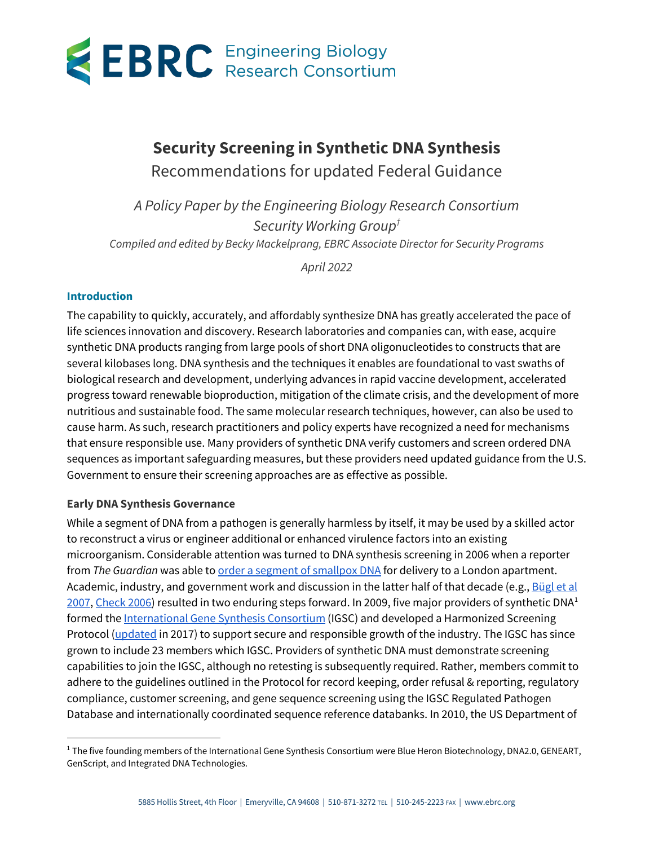

### **Security Screening in Synthetic DNA Synthesis**

Recommendations for updated Federal Guidance

*A Policy Paper by the Engineering Biology Research Consortium Security Working Group† Compiled and edited by Becky Mackelprang, EBRC Associate Director for Security Programs*

*April 2022* 

### **Introduction**

The capability to quickly, accurately, and affordably synthesize DNA has greatly accelerated the pace of life sciences innovation and discovery. Research laboratories and companies can, with ease, acquire synthetic DNA products ranging from large pools of short DNA oligonucleotides to constructs that are several kilobases long. DNA synthesis and the techniques it enables are foundational to vast swaths of biological research and development, underlying advances in rapid vaccine development, accelerated progress toward renewable bioproduction, mitigation of the climate crisis, and the development of more nutritious and sustainable food. The same molecular research techniques, however, can also be used to cause harm. As such, research practitioners and policy experts have recognized a need for mechanisms that ensure responsible use. Many providers of synthetic DNA verify customers and screen ordered DNA sequences as important safeguarding measures, but these providers need updated guidance from the U.S. Government to ensure their screening approaches are as effective as possible.

### **Early DNA Synthesis Governance**

While a segment of DNA from a pathogen is generally harmless by itself, it may be used by a skilled actor to reconstruct a virus or engineer additional or enhanced virulence factors into an existing microorganism. Considerable attention was turned to DNA synthesis screening in 2006 when a reporter from *The Guardian* was able to [order a segment of smallpox DNA](https://www.theguardian.com/world/2006/jun/14/terrorism.topstories3) for delivery to a London apartment. Academic, industry, and government work and discussion in the latter half of that decade (e.g., Bügl et al [2007,](https://doi.org/10.1038/nbt0607-627) [Check 2006\)](https://doi.org/10.1038/441388a) resulted in two enduring steps forward. In 2009, five major providers of synthetic DNA[1](#page-0-0) formed the [International Gene Synthesis Consortium](https://genesynthesisconsortium.org/) (IGSC) and developed a Harmonized Screening Protocol [\(updated](https://genesynthesisconsortium.org/wp-content/uploads/IGSCHarmonizedProtocol11-21-17.pdf) in 2017) to support secure and responsible growth of the industry. The IGSC has since grown to include 23 members which IGSC. Providers of synthetic DNA must demonstrate screening capabilities to join the IGSC, although no retesting is subsequently required. Rather, members commit to adhere to the guidelines outlined in the Protocol for record keeping, order refusal & reporting, regulatory compliance, customer screening, and gene sequence screening using the IGSC Regulated Pathogen Database and internationally coordinated sequence reference databanks. In 2010, the US Department of

<span id="page-0-0"></span><sup>&</sup>lt;sup>1</sup> The five founding members of the International Gene Synthesis Consortium were Blue Heron Biotechnology, DNA2.0, GENEART, GenScript, and Integrated DNA Technologies.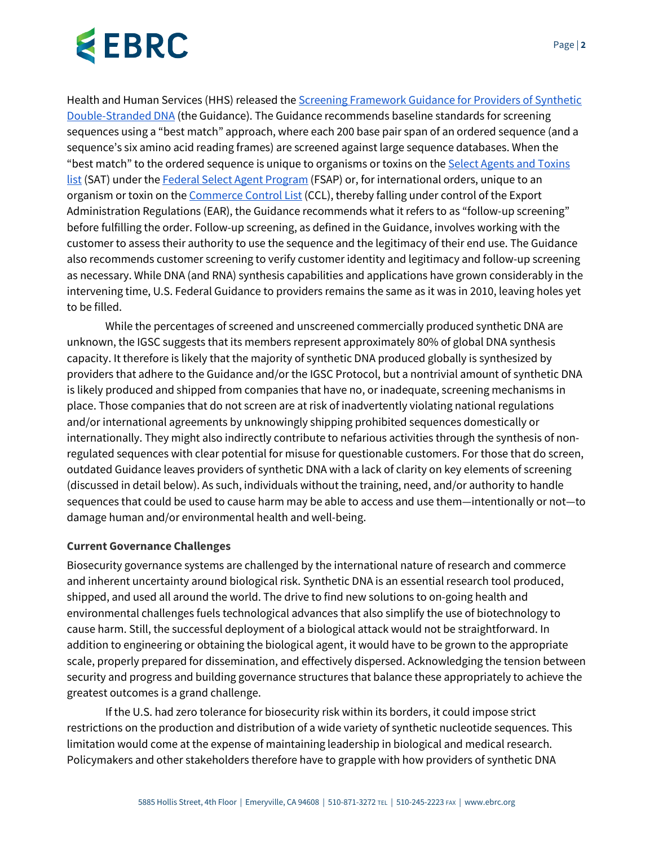Health and Human Services (HHS) released the Screening Framework Guidance for Providers of Synthetic [Double-Stranded DNA](https://www.phe.gov/Preparedness/legal/guidance/syndna/Documents/syndna-guidance.pdf) (the Guidance). The Guidance recommends baseline standards for screening sequences using a "best match" approach, where each 200 base pair span of an ordered sequence (and a sequence's six amino acid reading frames) are screened against large sequence databases. When the "best match" to the ordered sequence is unique to organisms or toxins on the Select Agents and Toxins [list](https://www.selectagents.gov/sat/list.htm) (SAT) under th[e Federal Select Agent Program](https://www.selectagents.gov/sat/list.htm) (FSAP) or, for international orders, unique to an organism or toxin on th[e Commerce Control List](https://www.bis.doc.gov/index.php/regulations/commerce-control-list-ccl) (CCL), thereby falling under control of the Export Administration Regulations (EAR), the Guidance recommends what it refers to as "follow-up screening" before fulfilling the order. Follow-up screening, as defined in the Guidance, involves working with the customer to assess their authority to use the sequence and the legitimacy of their end use. The Guidance also recommends customer screening to verify customer identity and legitimacy and follow-up screening as necessary. While DNA (and RNA) synthesis capabilities and applications have grown considerably in the intervening time, U.S. Federal Guidance to providers remains the same as it was in 2010, leaving holes yet to be filled.

While the percentages of screened and unscreened commercially produced synthetic DNA are unknown, the IGSC suggests that its members represent approximately 80% of global DNA synthesis capacity. It therefore is likely that the majority of synthetic DNA produced globally is synthesized by providers that adhere to the Guidance and/or the IGSC Protocol, but a nontrivial amount of synthetic DNA is likely produced and shipped from companies that have no, or inadequate, screening mechanisms in place. Those companies that do not screen are at risk of inadvertently violating national regulations and/or international agreements by unknowingly shipping prohibited sequences domestically or internationally. They might also indirectly contribute to nefarious activities through the synthesis of nonregulated sequences with clear potential for misuse for questionable customers. For those that do screen, outdated Guidance leaves providers of synthetic DNA with a lack of clarity on key elements of screening (discussed in detail below). As such, individuals without the training, need, and/or authority to handle sequences that could be used to cause harm may be able to access and use them—intentionally or not—to damage human and/or environmental health and well-being.

### **Current Governance Challenges**

Biosecurity governance systems are challenged by the international nature of research and commerce and inherent uncertainty around biological risk. Synthetic DNA is an essential research tool produced, shipped, and used all around the world. The drive to find new solutions to on-going health and environmental challenges fuels technological advances that also simplify the use of biotechnology to cause harm. Still, the successful deployment of a biological attack would not be straightforward. In addition to engineering or obtaining the biological agent, it would have to be grown to the appropriate scale, properly prepared for dissemination, and effectively dispersed. Acknowledging the tension between security and progress and building governance structures that balance these appropriately to achieve the greatest outcomes is a grand challenge.

If the U.S. had zero tolerance for biosecurity risk within its borders, it could impose strict restrictions on the production and distribution of a wide variety of synthetic nucleotide sequences. This limitation would come at the expense of maintaining leadership in biological and medical research. Policymakers and other stakeholders therefore have to grapple with how providers of synthetic DNA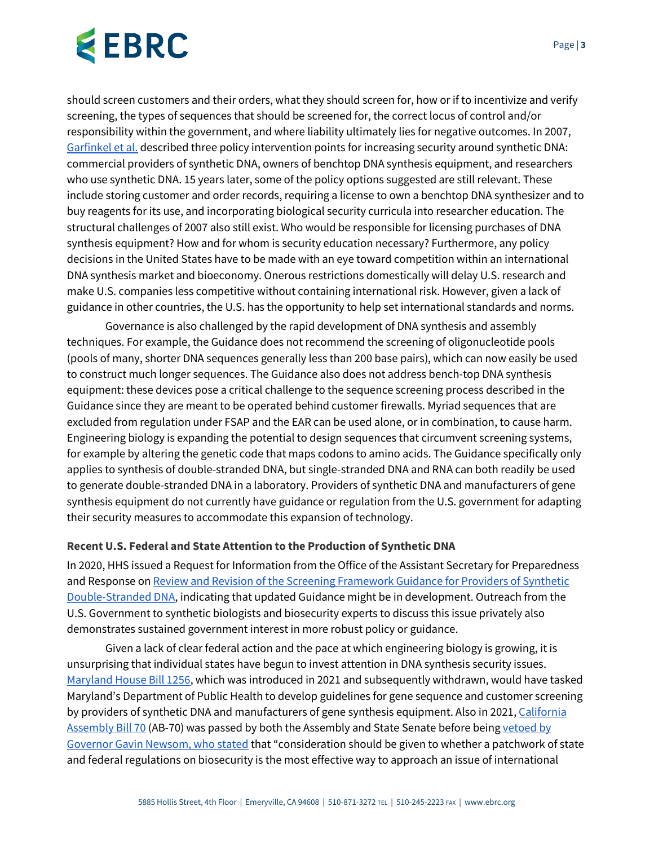should screen customers and their orders, what they should screen for, how or if to incentivize and verify screening, the types of sequences that should be screened for, the correct locus of control and/or responsibility within the government, and where liability ultimately lies for negative outcomes. In 2007, [Garfinkel et al.](https://doi.org/10.1089/bsp.2007.0923) described three policy intervention points for increasing security around synthetic DNA: commercial providers of synthetic DNA, owners of benchtop DNA synthesis equipment, and researchers who use synthetic DNA. 15 years later, some of the policy options suggested are still relevant. These include storing customer and order records, requiring a license to own a benchtop DNA synthesizer and to buy reagents for its use, and incorporating biological security curricula into researcher education. The structural challenges of 2007 also still exist. Who would be responsible for licensing purchases of DNA synthesis equipment? How and for whom is security education necessary? Furthermore, any policy decisions in the United States have to be made with an eye toward competition within an international DNA synthesis market and bioeconomy. Onerous restrictions domestically will delay U.S. research and make U.S. companies less competitive without containing international risk. However, given a lack of guidance in other countries, the U.S. has the opportunity to help set international standards and norms.

Governance is also challenged by the rapid development of DNA synthesis and assembly techniques. For example, the Guidance does not recommend the screening of oligonucleotide pools (pools of many, shorter DNA sequences generally less than 200 base pairs), which can now easily be used to construct much longer sequences. The Guidance also does not address bench-top DNA synthesis equipment: these devices pose a critical challenge to the sequence screening process described in the Guidance since they are meant to be operated behind customer firewalls. Myriad sequences that are excluded from regulation under FSAP and the EAR can be used alone, or in combination, to cause harm. Engineering biology is expanding the potential to design sequences that circumvent screening systems, for example by altering the genetic code that maps codons to amino acids. The Guidance specifically only applies to synthesis of double-stranded DNA, but single-stranded DNA and RNA can both readily be used to generate double-stranded DNA in a laboratory. Providers of synthetic DNA and manufacturers of gene synthesis equipment do not currently have guidance or regulation from the U.S. government for adapting their security measures to accommodate this expansion of technology.

### **Recent U.S. Federal and State Attention to the Production of Synthetic DNA**

In 2020, HHS issued a Request for Information from the Office of the Assistant Secretary for Preparedness and Response on Review and Revision of the Screening Framework Guidance for Providers of Synthetic [Double-Stranded DNA,](https://www.federalregister.gov/documents/2020/08/26/2020-18444/review-and-revision-of-the-screening-framework-guidance-for-providers-of-synthetic-double-stranded) indicating that updated Guidance might be in development. Outreach from the U.S. Government to synthetic biologists and biosecurity experts to discuss this issue privately also demonstrates sustained government interest in more robust policy or guidance.

Given a lack of clear federal action and the pace at which engineering biology is growing, it is unsurprising that individual states have begun to invest attention in DNA synthesis security issues. [Maryland House Bill 1256,](https://trackbill.com/bill/maryland-house-bill-1256-maryland-department-of-health-gene-synthesis-providers-and-manufacturers-of-gene-synthesis-equipment-certification/2019702/) which was introduced in 2021 and subsequently withdrawn, would have tasked Maryland's Department of Public Health to develop guidelines for gene sequence and customer screening by providers of synthetic DNA and manufacturers of gene synthesis equipment. Also in 2021, [California](https://leginfo.legislature.ca.gov/faces/billTextClient.xhtml?bill_id=202120220AB70)  [Assembly Bill 70 \(](https://leginfo.legislature.ca.gov/faces/billTextClient.xhtml?bill_id=202120220AB70)AB-70) was passed by both the Assembly and State Senate before being vetoed by [Governor Gavin Newsom, who stated](https://www.gov.ca.gov/wp-content/uploads/2021/10/AB-70-PDF.pdf) that "consideration should be given to whether a patchwork of state and federal regulations on biosecurity is the most effective way to approach an issue of international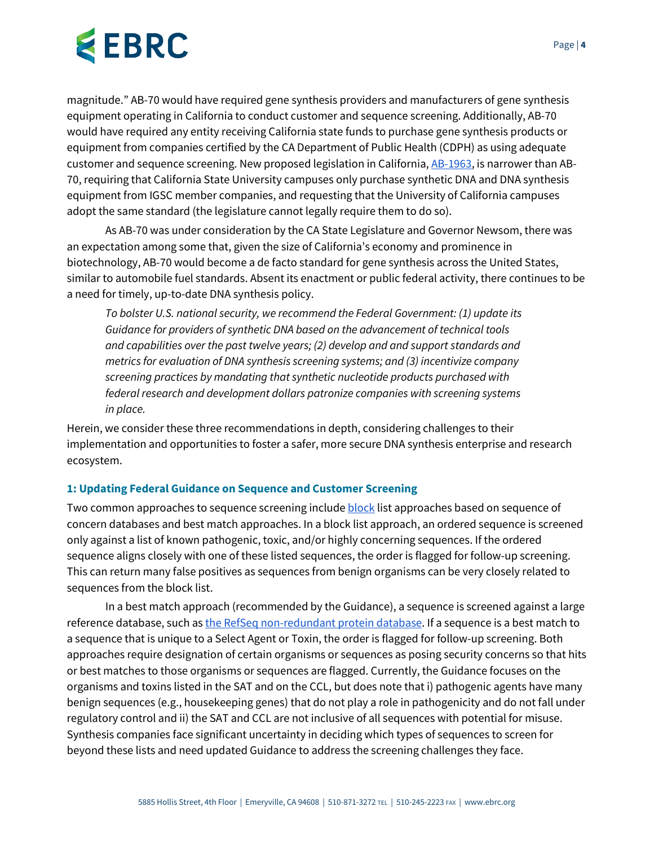magnitude." AB-70 would have required gene synthesis providers and manufacturers of gene synthesis equipment operating in California to conduct customer and sequence screening. Additionally, AB-70 would have required any entity receiving California state funds to purchase gene synthesis products or equipment from companies certified by the CA Department of Public Health (CDPH) as using adequate customer and sequence screening. New proposed legislation in California, [AB-1963,](https://leginfo.legislature.ca.gov/faces/billTextClient.xhtml?bill_id=202120220AB1963) is narrower than AB-70, requiring that California State University campuses only purchase synthetic DNA and DNA synthesis equipment from IGSC member companies, and requesting that the University of California campuses adopt the same standard (the legislature cannot legally require them to do so).

As AB-70 was under consideration by the CA State Legislature and Governor Newsom, there was an expectation among some that, given the size of California's economy and prominence in biotechnology, AB-70 would become a de facto standard for gene synthesis across the United States, similar to automobile fuel standards. Absent its enactment or public federal activity, there continues to be a need for timely, up-to-date DNA synthesis policy.

*To bolster U.S. national security, we recommend the Federal Government: (1) update its Guidance for providers of synthetic DNA based on the advancement of technical tools and capabilities over the past twelve years; (2) develop and and support standards and metrics for evaluation of DNA synthesis screening systems; and (3) incentivize company screening practices by mandating that synthetic nucleotide products purchased with federal research and development dollars patronize companies with screening systems in place.*

Herein, we consider these three recommendations in depth, considering challenges to their implementation and opportunities to foster a safer, more secure DNA synthesis enterprise and research ecosystem.

### **1: Updating Federal Guidance on Sequence and Customer Screening**

Two common approaches to sequence screening includ[e block](https://insights.dice.com/2020/07/17/whitelist-blacklist-the-new-debate-over-security-terminology/) list approaches based on sequence of concern databases and best match approaches. In a block list approach, an ordered sequence is screened only against a list of known pathogenic, toxic, and/or highly concerning sequences. If the ordered sequence aligns closely with one of these listed sequences, the order is flagged for follow-up screening. This can return many false positives as sequences from benign organisms can be very closely related to sequences from the block list.

In a best match approach (recommended by the Guidance), a sequence is screened against a large reference database, such a[s the RefSeq non-redundant protein database.](https://www.ncbi.nlm.nih.gov/refseq/about/nonredundantproteins/) If a sequence is a best match to a sequence that is unique to a Select Agent or Toxin, the order is flagged for follow-up screening. Both approaches require designation of certain organisms or sequences as posing security concerns so that hits or best matches to those organisms or sequences are flagged. Currently, the Guidance focuses on the organisms and toxins listed in the SAT and on the CCL, but does note that i) pathogenic agents have many benign sequences (e.g., housekeeping genes) that do not play a role in pathogenicity and do not fall under regulatory control and ii) the SAT and CCL are not inclusive of all sequences with potential for misuse. Synthesis companies face significant uncertainty in deciding which types of sequences to screen for beyond these lists and need updated Guidance to address the screening challenges they face.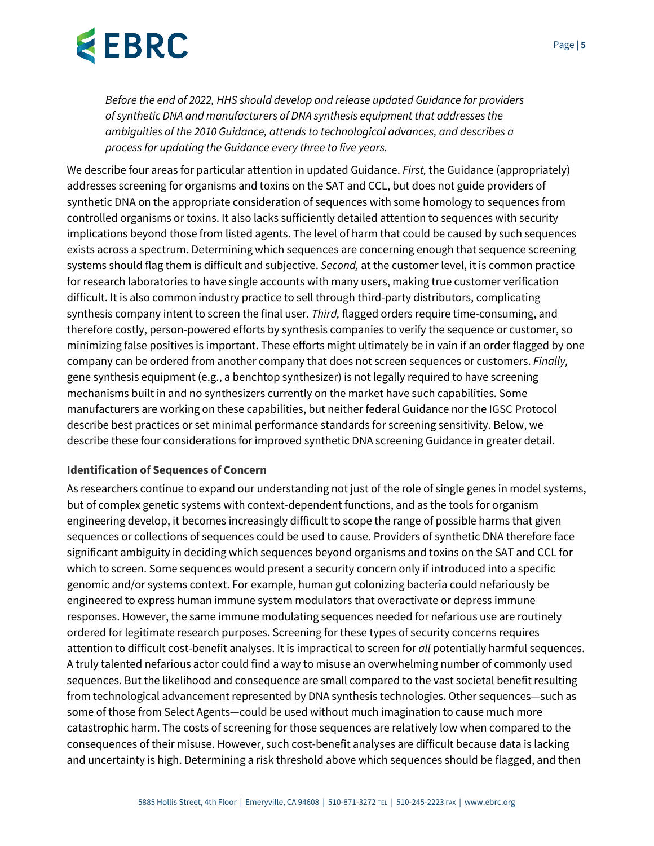*Before the end of 2022, HHS should develop and release updated Guidance for providers of synthetic DNA and manufacturers of DNA synthesis equipment that addresses the ambiguities of the 2010 Guidance, attends to technological advances, and describes a process for updating the Guidance every three to five years.*

We describe four areas for particular attention in updated Guidance. *First,* the Guidance (appropriately) addresses screening for organisms and toxins on the SAT and CCL, but does not guide providers of synthetic DNA on the appropriate consideration of sequences with some homology to sequences from controlled organisms or toxins. It also lacks sufficiently detailed attention to sequences with security implications beyond those from listed agents. The level of harm that could be caused by such sequences exists across a spectrum. Determining which sequences are concerning enough that sequence screening systems should flag them is difficult and subjective. *Second,* at the customer level, it is common practice for research laboratories to have single accounts with many users, making true customer verification difficult. It is also common industry practice to sell through third-party distributors, complicating synthesis company intent to screen the final user. *Third,* flagged orders require time-consuming, and therefore costly, person-powered efforts by synthesis companies to verify the sequence or customer, so minimizing false positives is important. These efforts might ultimately be in vain if an order flagged by one company can be ordered from another company that does not screen sequences or customers. *Finally,* gene synthesis equipment (e.g., a benchtop synthesizer) is not legally required to have screening mechanisms built in and no synthesizers currently on the market have such capabilities. Some manufacturers are working on these capabilities, but neither federal Guidance nor the IGSC Protocol describe best practices or set minimal performance standards for screening sensitivity. Below, we describe these four considerations for improved synthetic DNA screening Guidance in greater detail.

### **Identification of Sequences of Concern**

As researchers continue to expand our understanding not just of the role of single genes in model systems, but of complex genetic systems with context-dependent functions, and as the tools for organism engineering develop, it becomes increasingly difficult to scope the range of possible harms that given sequences or collections of sequences could be used to cause. Providers of synthetic DNA therefore face significant ambiguity in deciding which sequences beyond organisms and toxins on the SAT and CCL for which to screen. Some sequences would present a security concern only if introduced into a specific genomic and/or systems context. For example, human gut colonizing bacteria could nefariously be engineered to express human immune system modulators that overactivate or depress immune responses. However, the same immune modulating sequences needed for nefarious use are routinely ordered for legitimate research purposes. Screening for these types of security concerns requires attention to difficult cost-benefit analyses. It is impractical to screen for *all* potentially harmful sequences. A truly talented nefarious actor could find a way to misuse an overwhelming number of commonly used sequences. But the likelihood and consequence are small compared to the vast societal benefit resulting from technological advancement represented by DNA synthesis technologies. Other sequences—such as some of those from Select Agents—could be used without much imagination to cause much more catastrophic harm. The costs of screening for those sequences are relatively low when compared to the consequences of their misuse. However, such cost-benefit analyses are difficult because data is lacking and uncertainty is high. Determining a risk threshold above which sequences should be flagged, and then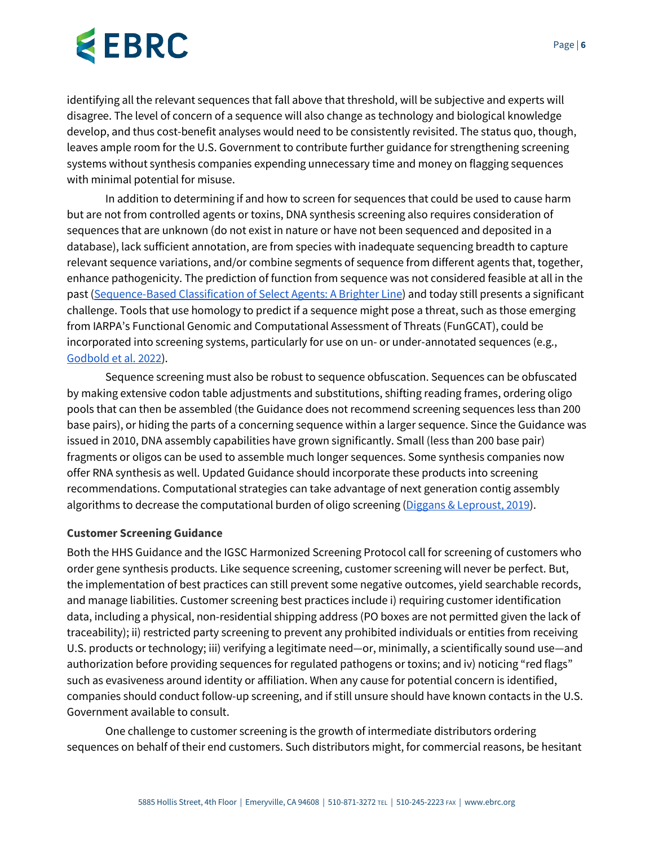identifying all the relevant sequences that fall above that threshold, will be subjective and experts will disagree. The level of concern of a sequence will also change as technology and biological knowledge develop, and thus cost-benefit analyses would need to be consistently revisited. The status quo, though, leaves ample room for the U.S. Government to contribute further guidance for strengthening screening systems without synthesis companies expending unnecessary time and money on flagging sequences with minimal potential for misuse.

In addition to determining if and how to screen for sequences that could be used to cause harm but are not from controlled agents or toxins, DNA synthesis screening also requires consideration of sequences that are unknown (do not exist in nature or have not been sequenced and deposited in a database), lack sufficient annotation, are from species with inadequate sequencing breadth to capture relevant sequence variations, and/or combine segments of sequence from different agents that, together, enhance pathogenicity. The prediction of function from sequence was not considered feasible at all in the past [\(Sequence-Based Classification of Select Agents: A Brighter Line\)](https://doi.org/10.17226/12970) and today still presents a significant challenge. Tools that use homology to predict if a sequence might pose a threat, such as those emerging from IARPA's Functional Genomic and Computational Assessment of Threats (FunGCAT), could be incorporated into screening systems, particularly for use on un- or under-annotated sequences (e.g., [Godbold et al. 2022\)](https://doi.org/10.1128/IAI.00334-21).

Sequence screening must also be robust to sequence obfuscation. Sequences can be obfuscated by making extensive codon table adjustments and substitutions, shifting reading frames, ordering oligo pools that can then be assembled (the Guidance does not recommend screening sequences less than 200 base pairs), or hiding the parts of a concerning sequence within a larger sequence. Since the Guidance was issued in 2010, DNA assembly capabilities have grown significantly. Small (less than 200 base pair) fragments or oligos can be used to assemble much longer sequences. Some synthesis companies now offer RNA synthesis as well. Updated Guidance should incorporate these products into screening recommendations. Computational strategies can take advantage of next generation contig assembly algorithms to decrease the computational burden of oligo screening [\(Diggans & Leproust, 2019\)](https://doi.org/10.3389/fbioe.2019.00086).

### **Customer Screening Guidance**

Both the HHS Guidance and the IGSC Harmonized Screening Protocol call for screening of customers who order gene synthesis products. Like sequence screening, customer screening will never be perfect. But, the implementation of best practices can still prevent some negative outcomes, yield searchable records, and manage liabilities. Customer screening best practices include i) requiring customer identification data, including a physical, non-residential shipping address (PO boxes are not permitted given the lack of traceability); ii) restricted party screening to prevent any prohibited individuals or entities from receiving U.S. products or technology; iii) verifying a legitimate need—or, minimally, a scientifically sound use—and authorization before providing sequences for regulated pathogens or toxins; and iv) noticing "red flags" such as evasiveness around identity or affiliation. When any cause for potential concern is identified, companies should conduct follow-up screening, and if still unsure should have known contacts in the U.S. Government available to consult.

One challenge to customer screening is the growth of intermediate distributors ordering sequences on behalf of their end customers. Such distributors might, for commercial reasons, be hesitant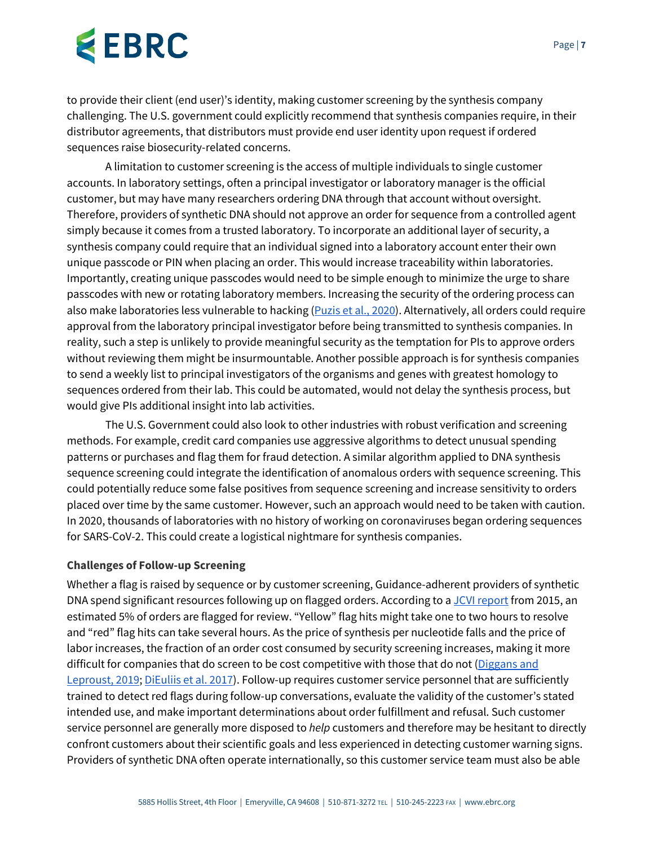to provide their client (end user)'s identity, making customer screening by the synthesis company challenging. The U.S. government could explicitly recommend that synthesis companies require, in their distributor agreements, that distributors must provide end user identity upon request if ordered sequences raise biosecurity-related concerns.

A limitation to customer screening is the access of multiple individuals to single customer accounts. In laboratory settings, often a principal investigator or laboratory manager is the official customer, but may have many researchers ordering DNA through that account without oversight. Therefore, providers of synthetic DNA should not approve an order for sequence from a controlled agent simply because it comes from a trusted laboratory. To incorporate an additional layer of security, a synthesis company could require that an individual signed into a laboratory account enter their own unique passcode or PIN when placing an order. This would increase traceability within laboratories. Importantly, creating unique passcodes would need to be simple enough to minimize the urge to share passcodes with new or rotating laboratory members. Increasing the security of the ordering process can also make laboratories less vulnerable to hacking [\(Puzis et al., 2020\)](https://www.nature.com/articles/s41587-020-00761-y?proof=tr). Alternatively, all orders could require approval from the laboratory principal investigator before being transmitted to synthesis companies. In reality, such a step is unlikely to provide meaningful security as the temptation for PIs to approve orders without reviewing them might be insurmountable. Another possible approach is for synthesis companies to send a weekly list to principal investigators of the organisms and genes with greatest homology to sequences ordered from their lab. This could be automated, would not delay the synthesis process, but would give PIs additional insight into lab activities.

The U.S. Government could also look to other industries with robust verification and screening methods. For example, credit card companies use aggressive algorithms to detect unusual spending patterns or purchases and flag them for fraud detection. A similar algorithm applied to DNA synthesis sequence screening could integrate the identification of anomalous orders with sequence screening. This could potentially reduce some false positives from sequence screening and increase sensitivity to orders placed over time by the same customer. However, such an approach would need to be taken with caution. In 2020, thousands of laboratories with no history of working on coronaviruses began ordering sequences for SARS-CoV-2. This could create a logistical nightmare for synthesis companies.

### **Challenges of Follow-up Screening**

Whether a flag is raised by sequence or by customer screening, Guidance-adherent providers of synthetic DNA spend significant resources following up on flagged orders. According to a [JCVI report](https://www.jcvi.org/research/dna-synthesis-and-biosecurity-lessons-learned-and-options-future) from 2015, an estimated 5% of orders are flagged for review. "Yellow" flag hits might take one to two hours to resolve and "red" flag hits can take several hours. As the price of synthesis per nucleotide falls and the price of labor increases, the fraction of an order cost consumed by security screening increases, making it more difficult for companies that do screen to be cost competitive with those that do not (Diggans and [Leproust, 2019;](https://www.frontiersin.org/articles/10.3389/fbioe.2019.00086/full) [DiEuliis et al. 2017\)](https://doi.org/10.1128/mSphere.00319-17). Follow-up requires customer service personnel that are sufficiently trained to detect red flags during follow-up conversations, evaluate the validity of the customer's stated intended use, and make important determinations about order fulfillment and refusal. Such customer service personnel are generally more disposed to *help* customers and therefore may be hesitant to directly confront customers about their scientific goals and less experienced in detecting customer warning signs. Providers of synthetic DNA often operate internationally, so this customer service team must also be able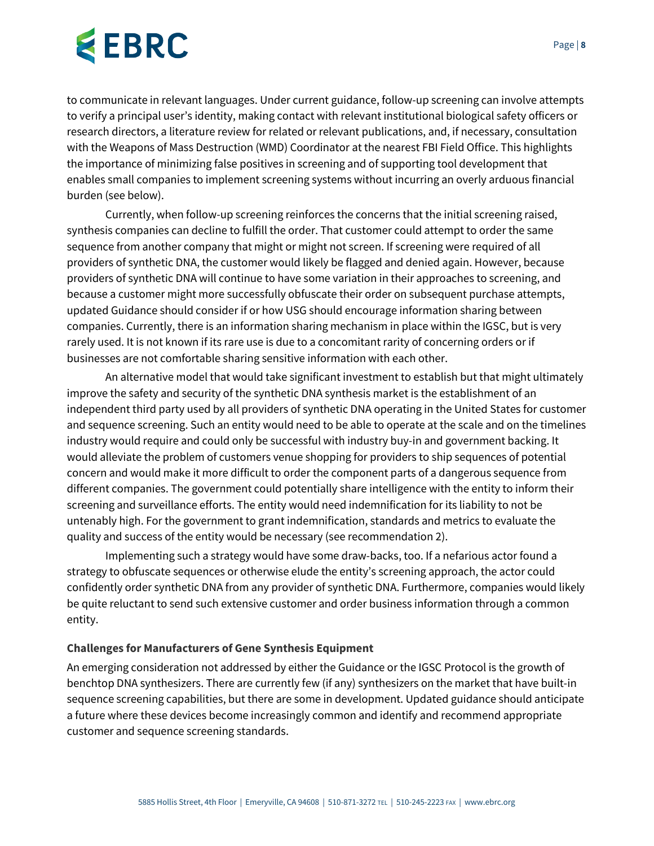to communicate in relevant languages. Under current guidance, follow-up screening can involve attempts to verify a principal user's identity, making contact with relevant institutional biological safety officers or research directors, a literature review for related or relevant publications, and, if necessary, consultation with the Weapons of Mass Destruction (WMD) Coordinator at the nearest FBI Field Office. This highlights the importance of minimizing false positives in screening and of supporting tool development that enables small companies to implement screening systems without incurring an overly arduous financial burden (see below).

Currently, when follow-up screening reinforces the concerns that the initial screening raised, synthesis companies can decline to fulfill the order. That customer could attempt to order the same sequence from another company that might or might not screen. If screening were required of all providers of synthetic DNA, the customer would likely be flagged and denied again. However, because providers of synthetic DNA will continue to have some variation in their approaches to screening, and because a customer might more successfully obfuscate their order on subsequent purchase attempts, updated Guidance should consider if or how USG should encourage information sharing between companies. Currently, there is an information sharing mechanism in place within the IGSC, but is very rarely used. It is not known if its rare use is due to a concomitant rarity of concerning orders or if businesses are not comfortable sharing sensitive information with each other.

An alternative model that would take significant investment to establish but that might ultimately improve the safety and security of the synthetic DNA synthesis market is the establishment of an independent third party used by all providers of synthetic DNA operating in the United States for customer and sequence screening. Such an entity would need to be able to operate at the scale and on the timelines industry would require and could only be successful with industry buy-in and government backing. It would alleviate the problem of customers venue shopping for providers to ship sequences of potential concern and would make it more difficult to order the component parts of a dangerous sequence from different companies. The government could potentially share intelligence with the entity to inform their screening and surveillance efforts. The entity would need indemnification for its liability to not be untenably high. For the government to grant indemnification, standards and metrics to evaluate the quality and success of the entity would be necessary (see recommendation 2).

Implementing such a strategy would have some draw-backs, too. If a nefarious actor found a strategy to obfuscate sequences or otherwise elude the entity's screening approach, the actor could confidently order synthetic DNA from any provider of synthetic DNA. Furthermore, companies would likely be quite reluctant to send such extensive customer and order business information through a common entity.

### **Challenges for Manufacturers of Gene Synthesis Equipment**

An emerging consideration not addressed by either the Guidance or the IGSC Protocol is the growth of benchtop DNA synthesizers. There are currently few (if any) synthesizers on the market that have built-in sequence screening capabilities, but there are some in development. Updated guidance should anticipate a future where these devices become increasingly common and identify and recommend appropriate customer and sequence screening standards.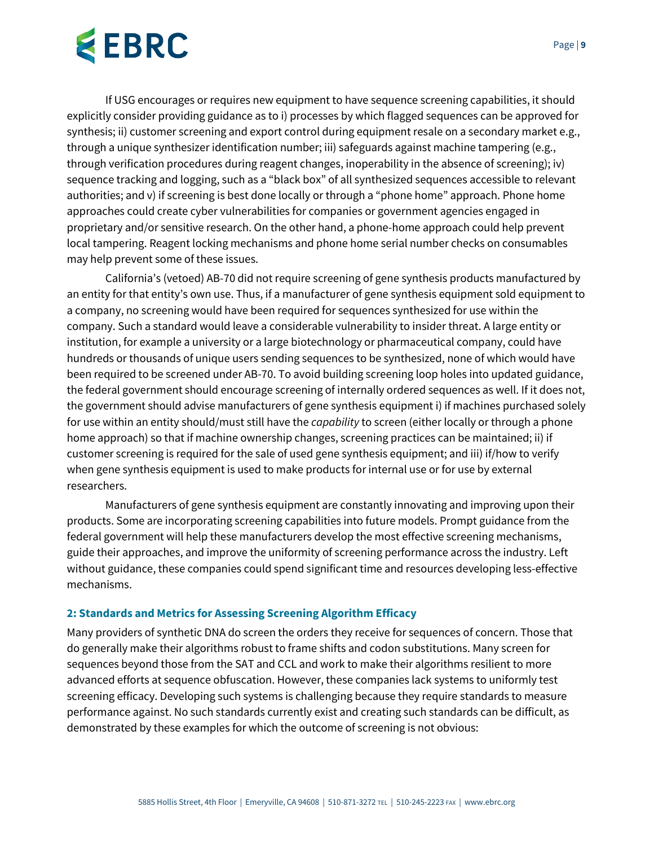If USG encourages or requires new equipment to have sequence screening capabilities, it should explicitly consider providing guidance as to i) processes by which flagged sequences can be approved for synthesis; ii) customer screening and export control during equipment resale on a secondary market e.g., through a unique synthesizer identification number; iii) safeguards against machine tampering (e.g., through verification procedures during reagent changes, inoperability in the absence of screening); iv) sequence tracking and logging, such as a "black box" of all synthesized sequences accessible to relevant authorities; and v) if screening is best done locally or through a "phone home" approach. Phone home approaches could create cyber vulnerabilities for companies or government agencies engaged in proprietary and/or sensitive research. On the other hand, a phone-home approach could help prevent local tampering. Reagent locking mechanisms and phone home serial number checks on consumables may help prevent some of these issues.

California's (vetoed) AB-70 did not require screening of gene synthesis products manufactured by an entity for that entity's own use. Thus, if a manufacturer of gene synthesis equipment sold equipment to a company, no screening would have been required for sequences synthesized for use within the company. Such a standard would leave a considerable vulnerability to insider threat. A large entity or institution, for example a university or a large biotechnology or pharmaceutical company, could have hundreds or thousands of unique users sending sequences to be synthesized, none of which would have been required to be screened under AB-70. To avoid building screening loop holes into updated guidance, the federal government should encourage screening of internally ordered sequences as well. If it does not, the government should advise manufacturers of gene synthesis equipment i) if machines purchased solely for use within an entity should/must still have the *capability* to screen (either locally or through a phone home approach) so that if machine ownership changes, screening practices can be maintained; ii) if customer screening is required for the sale of used gene synthesis equipment; and iii) if/how to verify when gene synthesis equipment is used to make products for internal use or for use by external researchers.

Manufacturers of gene synthesis equipment are constantly innovating and improving upon their products. Some are incorporating screening capabilities into future models. Prompt guidance from the federal government will help these manufacturers develop the most effective screening mechanisms, guide their approaches, and improve the uniformity of screening performance across the industry. Left without guidance, these companies could spend significant time and resources developing less-effective mechanisms.

### **2: Standards and Metrics for Assessing Screening Algorithm Efficacy**

Many providers of synthetic DNA do screen the orders they receive for sequences of concern. Those that do generally make their algorithms robust to frame shifts and codon substitutions. Many screen for sequences beyond those from the SAT and CCL and work to make their algorithms resilient to more advanced efforts at sequence obfuscation. However, these companies lack systems to uniformly test screening efficacy. Developing such systems is challenging because they require standards to measure performance against. No such standards currently exist and creating such standards can be difficult, as demonstrated by these examples for which the outcome of screening is not obvious: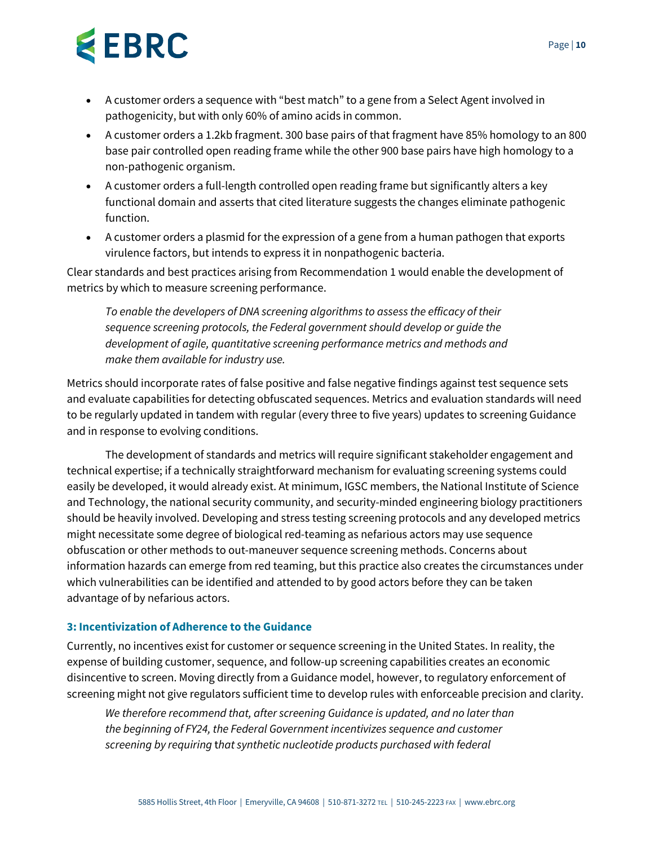- A customer orders a sequence with "best match" to a gene from a Select Agent involved in pathogenicity, but with only 60% of amino acids in common.
- A customer orders a 1.2kb fragment. 300 base pairs of that fragment have 85% homology to an 800 base pair controlled open reading frame while the other 900 base pairs have high homology to a non-pathogenic organism.
- A customer orders a full-length controlled open reading frame but significantly alters a key functional domain and asserts that cited literature suggests the changes eliminate pathogenic function.
- A customer orders a plasmid for the expression of a gene from a human pathogen that exports virulence factors, but intends to express it in nonpathogenic bacteria.

Clear standards and best practices arising from Recommendation 1 would enable the development of metrics by which to measure screening performance.

*To enable the developers of DNA screening algorithms to assess the efficacy of their sequence screening protocols, the Federal government should develop or guide the development of agile, quantitative screening performance metrics and methods and make them available for industry use.*

Metrics should incorporate rates of false positive and false negative findings against test sequence sets and evaluate capabilities for detecting obfuscated sequences. Metrics and evaluation standards will need to be regularly updated in tandem with regular (every three to five years) updates to screening Guidance and in response to evolving conditions.

The development of standards and metrics will require significant stakeholder engagement and technical expertise; if a technically straightforward mechanism for evaluating screening systems could easily be developed, it would already exist. At minimum, IGSC members, the National Institute of Science and Technology, the national security community, and security-minded engineering biology practitioners should be heavily involved. Developing and stress testing screening protocols and any developed metrics might necessitate some degree of biological red-teaming as nefarious actors may use sequence obfuscation or other methods to out-maneuver sequence screening methods. Concerns about information hazards can emerge from red teaming, but this practice also creates the circumstances under which vulnerabilities can be identified and attended to by good actors before they can be taken advantage of by nefarious actors.

### **3: Incentivization of Adherence to the Guidance**

Currently, no incentives exist for customer or sequence screening in the United States. In reality, the expense of building customer, sequence, and follow-up screening capabilities creates an economic disincentive to screen. Moving directly from a Guidance model, however, to regulatory enforcement of screening might not give regulators sufficient time to develop rules with enforceable precision and clarity.

*We therefore recommend that, after screening Guidance is updated, and no later than the beginning of FY24, the Federal Government incentivizes sequence and customer screening by requiring* t*hat synthetic nucleotide products purchased with federal*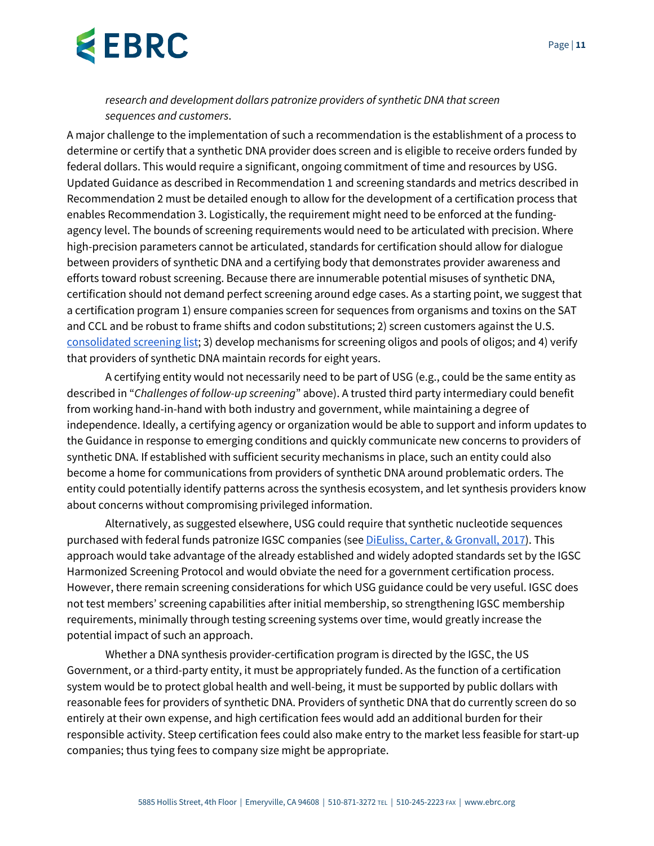*research and development dollars patronize providers of synthetic DNA that screen sequences and customers*.

A major challenge to the implementation of such a recommendation is the establishment of a process to determine or certify that a synthetic DNA provider does screen and is eligible to receive orders funded by federal dollars. This would require a significant, ongoing commitment of time and resources by USG. Updated Guidance as described in Recommendation 1 and screening standards and metrics described in Recommendation 2 must be detailed enough to allow for the development of a certification process that enables Recommendation 3. Logistically, the requirement might need to be enforced at the fundingagency level. The bounds of screening requirements would need to be articulated with precision. Where high-precision parameters cannot be articulated, standards for certification should allow for dialogue between providers of synthetic DNA and a certifying body that demonstrates provider awareness and efforts toward robust screening. Because there are innumerable potential misuses of synthetic DNA, certification should not demand perfect screening around edge cases. As a starting point, we suggest that a certification program 1) ensure companies screen for sequences from organisms and toxins on the SAT and CCL and be robust to frame shifts and codon substitutions; 2) screen customers against the U.S. [consolidated screening list;](https://www.trade.gov/consolidated-screening-list) 3) develop mechanisms for screening oligos and pools of oligos; and 4) verify that providers of synthetic DNA maintain records for eight years.

A certifying entity would not necessarily need to be part of USG (e.g., could be the same entity as described in "*Challenges of follow-up screening*" above). A trusted third party intermediary could benefit from working hand-in-hand with both industry and government, while maintaining a degree of independence. Ideally, a certifying agency or organization would be able to support and inform updates to the Guidance in response to emerging conditions and quickly communicate new concerns to providers of synthetic DNA. If established with sufficient security mechanisms in place, such an entity could also become a home for communications from providers of synthetic DNA around problematic orders. The entity could potentially identify patterns across the synthesis ecosystem, and let synthesis providers know about concerns without compromising privileged information.

Alternatively, as suggested elsewhere, USG could require that synthetic nucleotide sequences purchased with federal funds patronize IGSC companies (see *DiEuliss, Carter, & Gronvall, 2017*). This approach would take advantage of the already established and widely adopted standards set by the IGSC Harmonized Screening Protocol and would obviate the need for a government certification process. However, there remain screening considerations for which USG guidance could be very useful. IGSC does not test members' screening capabilities after initial membership, so strengthening IGSC membership requirements, minimally through testing screening systems over time, would greatly increase the potential impact of such an approach.

Whether a DNA synthesis provider-certification program is directed by the IGSC, the US Government, or a third-party entity, it must be appropriately funded. As the function of a certification system would be to protect global health and well-being, it must be supported by public dollars with reasonable fees for providers of synthetic DNA. Providers of synthetic DNA that do currently screen do so entirely at their own expense, and high certification fees would add an additional burden for their responsible activity. Steep certification fees could also make entry to the market less feasible for start-up companies; thus tying fees to company size might be appropriate.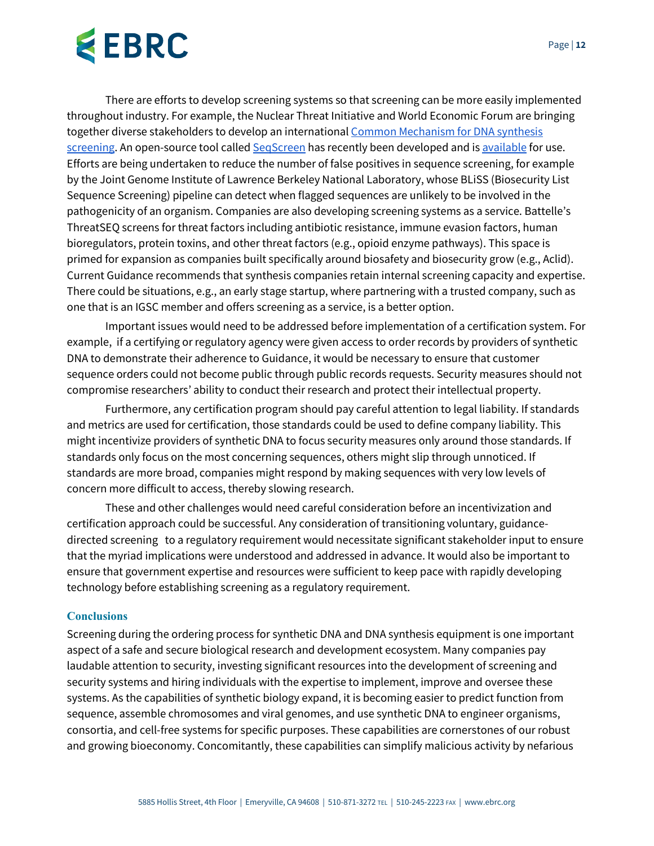There are efforts to develop screening systems so that screening can be more easily implemented throughout industry. For example, the Nuclear Threat Initiative and World Economic Forum are bringing together diverse stakeholders to develop an international Common Mechanism for DNA synthesis [screening.](https://www.nti.org/newsroom/news/nti-and-wef-convene-second-annual-meeting-dna-synthesis-screening-technical-consortium/) An open-source tool called SegScreen has recently been developed and i[s available](https://gitlab.com/treangenlab/seqscreen) for use. Efforts are being undertaken to reduce the number of false positives in sequence screening, for example by the Joint Genome Institute of Lawrence Berkeley National Laboratory, whose BLiSS (Biosecurity List Sequence Screening) pipeline can detect when flagged sequences are unlikely to be involved in the pathogenicity of an organism. Companies are also developing screening systems as a service. Battelle's ThreatSEQ screens for threat factors including antibiotic resistance, immune evasion factors, human bioregulators, protein toxins, and other threat factors (e.g., opioid enzyme pathways). This space is primed for expansion as companies built specifically around biosafety and biosecurity grow (e.g., Aclid). Current Guidance recommends that synthesis companies retain internal screening capacity and expertise. There could be situations, e.g., an early stage startup, where partnering with a trusted company, such as one that is an IGSC member and offers screening as a service, is a better option.

Important issues would need to be addressed before implementation of a certification system. For example, if a certifying or regulatory agency were given access to order records by providers of synthetic DNA to demonstrate their adherence to Guidance, it would be necessary to ensure that customer sequence orders could not become public through public records requests. Security measures should not compromise researchers' ability to conduct their research and protect their intellectual property.

Furthermore, any certification program should pay careful attention to legal liability. If standards and metrics are used for certification, those standards could be used to define company liability. This might incentivize providers of synthetic DNA to focus security measures only around those standards. If standards only focus on the most concerning sequences, others might slip through unnoticed. If standards are more broad, companies might respond by making sequences with very low levels of concern more difficult to access, thereby slowing research.

These and other challenges would need careful consideration before an incentivization and certification approach could be successful. Any consideration of transitioning voluntary, guidancedirected screening to a regulatory requirement would necessitate significant stakeholder input to ensure that the myriad implications were understood and addressed in advance. It would also be important to ensure that government expertise and resources were sufficient to keep pace with rapidly developing technology before establishing screening as a regulatory requirement.

### **Conclusions**

Screening during the ordering process for synthetic DNA and DNA synthesis equipment is one important aspect of a safe and secure biological research and development ecosystem. Many companies pay laudable attention to security, investing significant resources into the development of screening and security systems and hiring individuals with the expertise to implement, improve and oversee these systems. As the capabilities of synthetic biology expand, it is becoming easier to predict function from sequence, assemble chromosomes and viral genomes, and use synthetic DNA to engineer organisms, consortia, and cell-free systems for specific purposes. These capabilities are cornerstones of our robust and growing bioeconomy. Concomitantly, these capabilities can simplify malicious activity by nefarious